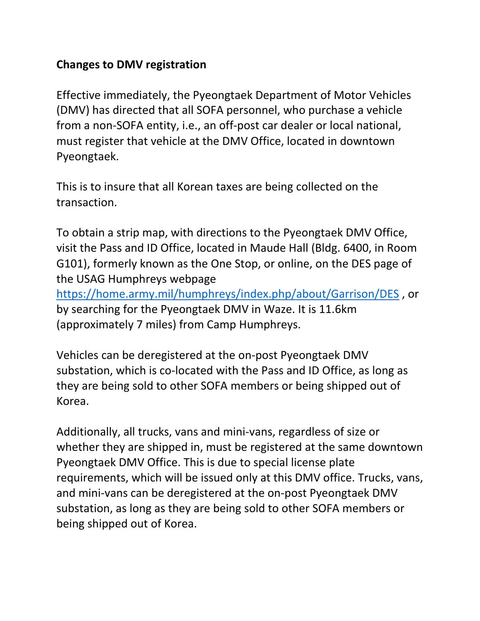## **Changes to DMV registration**

Effective immediately, the Pyeongtaek Department of Motor Vehicles (DMV) has directed that all SOFA personnel, who purchase a vehicle from a non-SOFA entity, i.e., an off-post car dealer or local national, must register that vehicle at the DMV Office, located in downtown Pyeongtaek.

This is to insure that all Korean taxes are being collected on the transaction.

To obtain a strip map, with directions to the Pyeongtaek DMV Office, visit the Pass and ID Office, located in Maude Hall (Bldg. 6400, in Room G101), formerly known as the One Stop, or online, on the DES page of the USAG Humphreys webpage

<https://home.army.mil/humphreys/index.php/about/Garrison/DES> , or by searching for the Pyeongtaek DMV in Waze. It is 11.6km (approximately 7 miles) from Camp Humphreys.

Vehicles can be deregistered at the on-post Pyeongtaek DMV substation, which is co-located with the Pass and ID Office, as long as they are being sold to other SOFA members or being shipped out of Korea.

Additionally, all trucks, vans and mini-vans, regardless of size or whether they are shipped in, must be registered at the same downtown Pyeongtaek DMV Office. This is due to special license plate requirements, which will be issued only at this DMV office. Trucks, vans, and mini-vans can be deregistered at the on-post Pyeongtaek DMV substation, as long as they are being sold to other SOFA members or being shipped out of Korea.